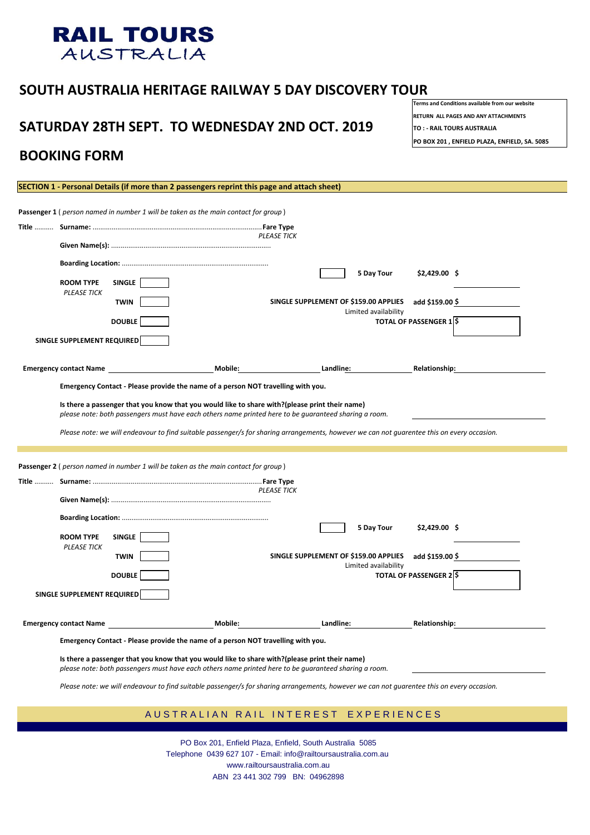## **SOUTH AUSTRALIA HERITAGE RAILWAY 5 DAY DISCOVERY TOUR**

# SATURDAY 28TH SEPT. TO WEDNESDAY 2ND OCT. 2019 **TO :- RAIL TOURS AUSTRALIA**

**Terms and Conditions available from our website RETURN ALL PAGES AND ANY ATTACHMENTS**

|  |                                        |               |                | <b>PLEASE TICK</b>                                            |                                |  |  |  |  |
|--|----------------------------------------|---------------|----------------|---------------------------------------------------------------|--------------------------------|--|--|--|--|
|  |                                        |               |                |                                                               |                                |  |  |  |  |
|  | <b>ROOM TYPE</b><br><b>PLEASE TICK</b> | <b>SINGLE</b> |                | <b>5 Day Tour</b>                                             | $$2,429.00$ \$                 |  |  |  |  |
|  |                                        | <b>TWIN</b>   |                | SINGLE SUPPLEMENT OF \$159.00 APPLIES<br>Limited availability | add \$159.00 \$                |  |  |  |  |
|  |                                        | <b>DOUBLE</b> |                |                                                               | <b>TOTAL OF PASSENGER 1 \$</b> |  |  |  |  |
|  | <b>SINGLE SUPPLEMENT REQUIRED</b>      |               |                |                                                               |                                |  |  |  |  |
|  | <b>Emergency contact Name</b>          |               | <b>Mobile:</b> | Landline:                                                     | <b>Relationship:</b>           |  |  |  |  |

**PO BOX 201 , ENFIELD PLAZA, ENFIELD, SA. 5085**



## **BOOKING FORM**

**SECTION 1 - Personal Details (if more than 2 passengers reprint this page and attach sheet)**

**Emergency Contact - Please provide the name of a person NOT travelling with you.**

**Is there a passenger that you know that you would like to share with?(please print their name)**

*please note: both passengers must have each others name printed here to be guaranteed sharing a room.*

*Please note: we will endeavour to find suitable passenger/s for sharing arrangements, however we can not guarentee this on every occasion.*

|                               |                                        |               | <b>Passenger 2</b> (person named in number 1 will be taken as the main contact for group)                                                                                                               |                                       |                      |                                |  |  |  |  |
|-------------------------------|----------------------------------------|---------------|---------------------------------------------------------------------------------------------------------------------------------------------------------------------------------------------------------|---------------------------------------|----------------------|--------------------------------|--|--|--|--|
| Title                         | <b>PLEASE TICK</b>                     |               |                                                                                                                                                                                                         |                                       |                      |                                |  |  |  |  |
|                               |                                        |               |                                                                                                                                                                                                         |                                       |                      |                                |  |  |  |  |
|                               |                                        |               |                                                                                                                                                                                                         |                                       | <b>5 Day Tour</b>    | $$2,429.00$ \$                 |  |  |  |  |
|                               | <b>ROOM TYPE</b><br><b>PLEASE TICK</b> | <b>SINGLE</b> |                                                                                                                                                                                                         |                                       |                      |                                |  |  |  |  |
|                               |                                        | <b>TWIN</b>   |                                                                                                                                                                                                         | SINGLE SUPPLEMENT OF \$159.00 APPLIES | Limited availability | add $$159.00$ \$               |  |  |  |  |
|                               |                                        | <b>DOUBLE</b> |                                                                                                                                                                                                         |                                       |                      | <b>TOTAL OF PASSENGER 2 \$</b> |  |  |  |  |
|                               | SINGLE SUPPLEMENT REQUIRED             |               |                                                                                                                                                                                                         |                                       |                      |                                |  |  |  |  |
| <b>Emergency contact Name</b> |                                        |               | <b>Mobile:</b>                                                                                                                                                                                          | Landline:                             |                      | <b>Relationship:</b>           |  |  |  |  |
|                               |                                        |               | Emergency Contact - Please provide the name of a person NOT travelling with you.                                                                                                                        |                                       |                      |                                |  |  |  |  |
|                               |                                        |               | Is there a passenger that you know that you would like to share with?(please print their name)<br>please note: both passengers must have each others name printed here to be guaranteed sharing a room. |                                       |                      |                                |  |  |  |  |

*Please note: we will endeavour to find suitable passenger/s for sharing arrangements, however we can not guarentee this on every occasion.*

## A U S T R A L I A N R A I L I N T E R E S T E X P E R I E N C E S

PO Box 201, Enfield Plaza, Enfield, South Australia 5085 Telephone 0439 627 107 - Email: info@railtoursaustralia.com.au www.railtoursaustralia.com.au